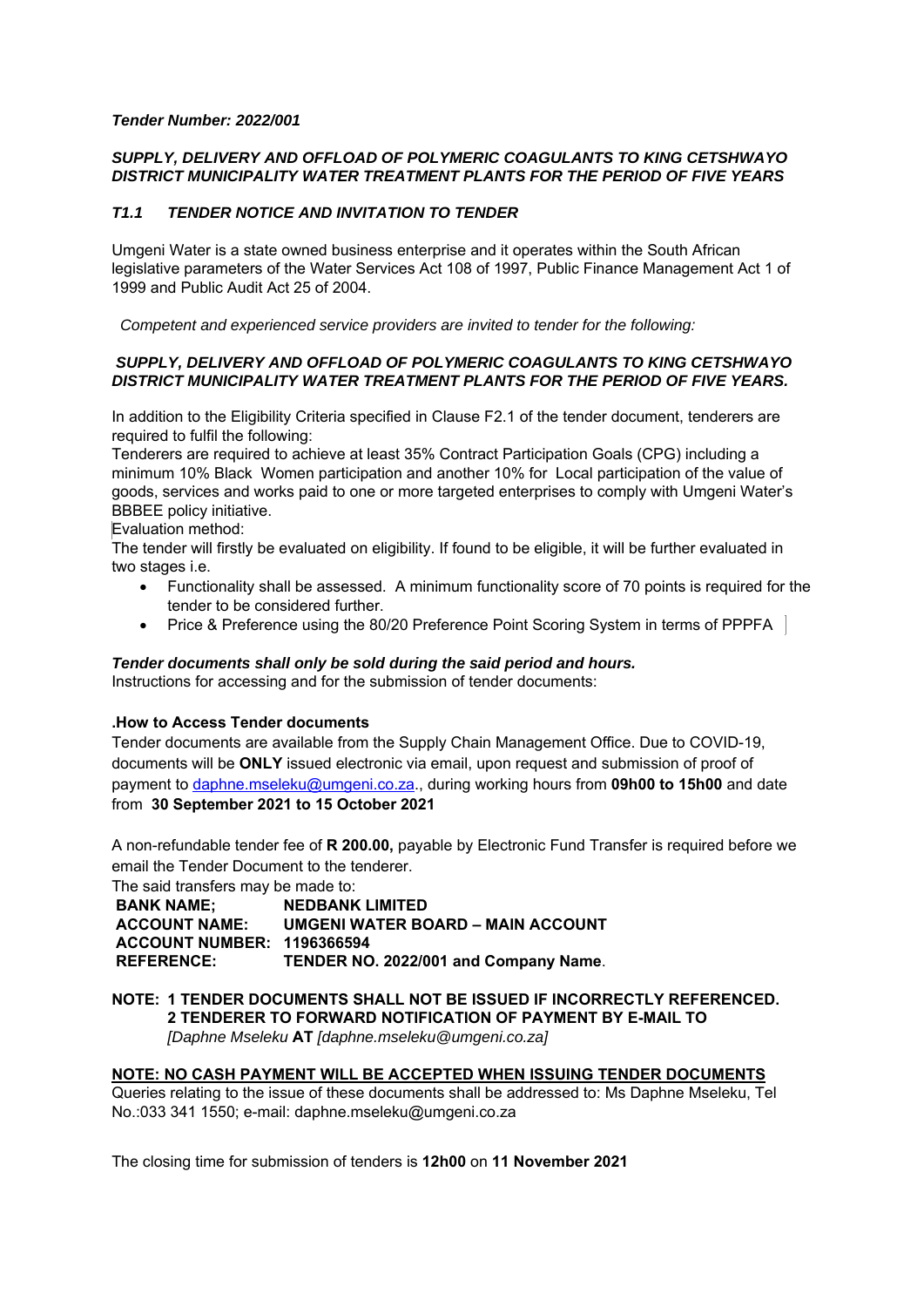#### *Tender Number: 2022/001*

# *SUPPLY, DELIVERY AND OFFLOAD OF POLYMERIC COAGULANTS TO KING CETSHWAYO DISTRICT MUNICIPALITY WATER TREATMENT PLANTS FOR THE PERIOD OF FIVE YEARS*

# *T1.1 TENDER NOTICE AND INVITATION TO TENDER*

Umgeni Water is a state owned business enterprise and it operates within the South African legislative parameters of the Water Services Act 108 of 1997, Public Finance Management Act 1 of 1999 and Public Audit Act 25 of 2004.

 *Competent and experienced service providers are invited to tender for the following:* 

### *SUPPLY, DELIVERY AND OFFLOAD OF POLYMERIC COAGULANTS TO KING CETSHWAYO DISTRICT MUNICIPALITY WATER TREATMENT PLANTS FOR THE PERIOD OF FIVE YEARS.*

In addition to the Eligibility Criteria specified in Clause F2.1 of the tender document, tenderers are required to fulfil the following:

Tenderers are required to achieve at least 35% Contract Participation Goals (CPG) including a minimum 10% Black Women participation and another 10% for Local participation of the value of goods, services and works paid to one or more targeted enterprises to comply with Umgeni Water's BBBEE policy initiative.

Evaluation method:

The tender will firstly be evaluated on eligibility. If found to be eligible, it will be further evaluated in two stages i.e.

- Functionality shall be assessed. A minimum functionality score of 70 points is required for the tender to be considered further.
- Price & Preference using the 80/20 Preference Point Scoring System in terms of PPPFA

#### *Tender documents shall only be sold during the said period and hours.*

Instructions for accessing and for the submission of tender documents:

# **.How to Access Tender documents**

Tender documents are available from the Supply Chain Management Office. Due to COVID-19, documents will be **ONLY** issued electronic via email, upon request and submission of proof of payment to daphne.mseleku@umgeni.co.za., during working hours from **09h00 to 15h00** and date from **30 September 2021 to 15 October 2021**

A non-refundable tender fee of **R 200.00,** payable by Electronic Fund Transfer is required before we email the Tender Document to the tenderer.

The said transfers may be made to:

**BANK NAME:** NEDBANK LIMITED  **ACCOUNT NAME: UMGENI WATER BOARD – MAIN ACCOUNT ACCOUNT NUMBER: 1196366594 REFERENCE: TENDER NO. 2022/001 and Company Name**.

### **NOTE: 1 TENDER DOCUMENTS SHALL NOT BE ISSUED IF INCORRECTLY REFERENCED. 2 TENDERER TO FORWARD NOTIFICATION OF PAYMENT BY E-MAIL TO**  *[Daphne Mseleku* **AT** *[daphne.mseleku@umgeni.co.za]*

# **NOTE: NO CASH PAYMENT WILL BE ACCEPTED WHEN ISSUING TENDER DOCUMENTS**

Queries relating to the issue of these documents shall be addressed to: Ms Daphne Mseleku, Tel No.:033 341 1550; e-mail: daphne.mseleku@umgeni.co.za

The closing time for submission of tenders is **12h00** on **11 November 2021**